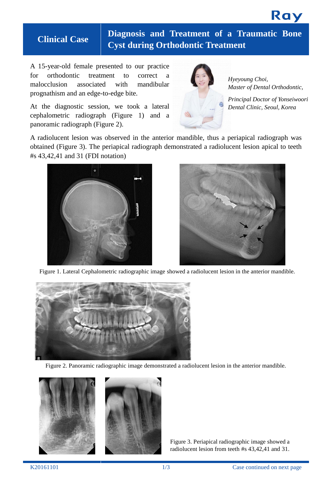

**Clinical Case Diagnosis and Treatment of <sup>a</sup> Traumatic Bone Cyst during Orthodontic Treatment**

A 15-year-old female presented to our practice for orthodontic treatment to correct a malocclusion associated with mandibular prognathism and an edge-to-edge bite.

At the diagnostic session, we took a lateral cephalometric radiograph (Figure 1) and a panoramic radiograph (Figure 2).



*Hyeyoung Choi, Master of Dental Orthodontic,*

*Principal Doctor of Yonseiwoori Dental Clinic, Seoul, Korea*

A radiolucent lesion was observed in the anterior mandible, thus a periapical radiograph was obtained (Figure 3). The periapical radiograph demonstrated a radiolucent lesion apical to teeth #s 43,42,41 and 31 (FDI notation)





Figure 1. Lateral Cephalometric radiographic image showed a radiolucent lesion in the anterior mandible.







Figure 3. Periapical radiographic image showed a radiolucent lesion from teeth #s 43,42,41 and 31.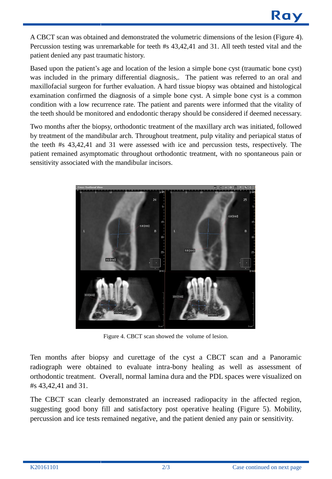A CBCT scan was obtained and demonstrated the volumetric dimensions of the lesion (Figure 4). Percussion testing was unremarkable for teeth #s 43,42,41 and 31. All teeth tested vital and the patient denied any past traumatic history.

Based upon the patient's age and location of the lesion a simple bone cyst (traumatic bone cyst) was included in the primary differential diagnosis,. The patient was referred to an oral and maxillofacial surgeon for further evaluation. A hard tissue biopsy was obtained and histological examination confirmed the diagnosis of a simple bone cyst. A simple bone cyst is a common condition with a low recurrence rate. The patient and parents were informed that the vitality of the teeth should be monitored and endodontic therapy should be considered if deemed necessary.

Two months after the biopsy, orthodontic treatment of the maxillary arch was initiated, followed by treatment of the mandibular arch. Throughout treatment, pulp vitality and periapical status of the teeth #s 43,42,41 and 31 were assessed with ice and percussion tests, respectively. The patient remained asymptomatic throughout orthodontic treatment, with no spontaneous pain or sensitivity associated with the mandibular incisors.



Figure 4. CBCT scan showed the volume of lesion.

Ten months after biopsy and curettage of the cyst a CBCT scan and a Panoramic radiograph were obtained to evaluate intra-bony healing as well as assessment of orthodontic treatment. Overall, normal lamina dura and the PDL spaces were visualized on #s 43,42,41 and 31.

The CBCT scan clearly demonstrated an increased radiopacity in the affected region, suggesting good bony fill and satisfactory post operative healing (Figure 5). Mobility, percussion and ice tests remained negative, and the patient denied any pain or sensitivity.